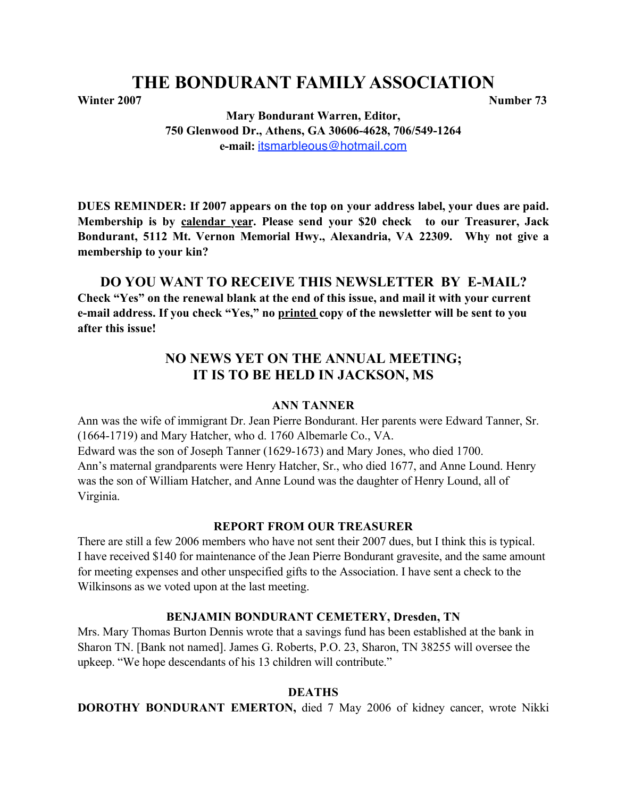# **THE BONDURANT FAMILY ASSOCIATION**

**Winter 2007** Number 73

**Mary Bondurant Warren, Editor, 750 Glenwood Dr., Athens, GA 30606-4628, 706/549-1264 e-mail:** itsmarbleous@hotmail.com

**DUES REMINDER: If 2007 appears on the top on your address label, your dues are paid. Membership is by calendar year. Please send your \$20 check to our Treasurer, Jack Bondurant, 5112 Mt. Vernon Memorial Hwy., Alexandria, VA 22309. Why not give a membership to your kin?**

## **DO YOU WANT TO RECEIVE THIS NEWSLETTER BY E-MAIL?**

**Check "Yes" on the renewal blank at the end of this issue, and mail it with your current e-mail address. If you check "Yes," no printed copy of the newsletter will be sent to you after this issue!**

## **NO NEWS YET ON THE ANNUAL MEETING; IT IS TO BE HELD IN JACKSON, MS**

#### **ANN TANNER**

Ann was the wife of immigrant Dr. Jean Pierre Bondurant. Her parents were Edward Tanner, Sr. (1664-1719) and Mary Hatcher, who d. 1760 Albemarle Co., VA. Edward was the son of Joseph Tanner (1629-1673) and Mary Jones, who died 1700. Ann's maternal grandparents were Henry Hatcher, Sr., who died 1677, and Anne Lound. Henry was the son of William Hatcher, and Anne Lound was the daughter of Henry Lound, all of Virginia.

#### **REPORT FROM OUR TREASURER**

There are still a few 2006 members who have not sent their 2007 dues, but I think this is typical. I have received \$140 for maintenance of the Jean Pierre Bondurant gravesite, and the same amount for meeting expenses and other unspecified gifts to the Association. I have sent a check to the Wilkinsons as we voted upon at the last meeting.

#### **BENJAMIN BONDURANT CEMETERY, Dresden, TN**

Mrs. Mary Thomas Burton Dennis wrote that a savings fund has been established at the bank in Sharon TN. [Bank not named]. James G. Roberts, P.O. 23, Sharon, TN 38255 will oversee the upkeep. "We hope descendants of his 13 children will contribute."

#### **DEATHS**

**DOROTHY BONDURANT EMERTON,** died 7 May 2006 of kidney cancer, wrote Nikki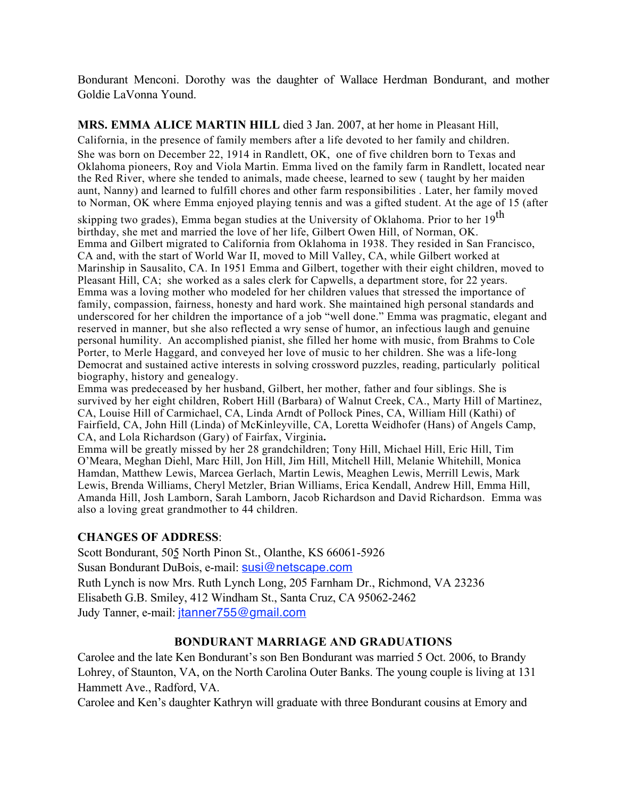Bondurant Menconi. Dorothy was the daughter of Wallace Herdman Bondurant, and mother Goldie LaVonna Yound.

**MRS. EMMA ALICE MARTIN HILL** died 3 Jan. 2007, at her home in Pleasant Hill,

California, in the presence of family members after a life devoted to her family and children. She was born on December 22, 1914 in Randlett, OK, one of five children born to Texas and Oklahoma pioneers, Roy and Viola Martin. Emma lived on the family farm in Randlett, located near the Red River, where she tended to animals, made cheese, learned to sew ( taught by her maiden aunt, Nanny) and learned to fulfill chores and other farm responsibilities . Later, her family moved to Norman, OK where Emma enjoyed playing tennis and was a gifted student. At the age of 15 (after

skipping two grades), Emma began studies at the University of Oklahoma. Prior to her 19<sup>th</sup> birthday, she met and married the love of her life, Gilbert Owen Hill, of Norman, OK. Emma and Gilbert migrated to California from Oklahoma in 1938. They resided in San Francisco, CA and, with the start of World War II, moved to Mill Valley, CA, while Gilbert worked at Marinship in Sausalito, CA. In 1951 Emma and Gilbert, together with their eight children, moved to Pleasant Hill, CA; she worked as a sales clerk for Capwells, a department store, for 22 years. Emma was a loving mother who modeled for her children values that stressed the importance of family, compassion, fairness, honesty and hard work. She maintained high personal standards and underscored for her children the importance of a job "well done." Emma was pragmatic, elegant and reserved in manner, but she also reflected a wry sense of humor, an infectious laugh and genuine personal humility. An accomplished pianist, she filled her home with music, from Brahms to Cole Porter, to Merle Haggard, and conveyed her love of music to her children. She was a life-long Democrat and sustained active interests in solving crossword puzzles, reading, particularly political biography, history and genealogy.

Emma was predeceased by her husband, Gilbert, her mother, father and four siblings. She is survived by her eight children, Robert Hill (Barbara) of Walnut Creek, CA., Marty Hill of Martinez, CA, Louise Hill of Carmichael, CA, Linda Arndt of Pollock Pines, CA, William Hill (Kathi) of Fairfield, CA, John Hill (Linda) of McKinleyville, CA, Loretta Weidhofer (Hans) of Angels Camp, CA, and Lola Richardson (Gary) of Fairfax, Virginia**.**

Emma will be greatly missed by her 28 grandchildren; Tony Hill, Michael Hill, Eric Hill, Tim O'Meara, Meghan Diehl, Marc Hill, Jon Hill, Jim Hill, Mitchell Hill, Melanie Whitehill, Monica Hamdan, Matthew Lewis, Marcea Gerlach, Martin Lewis, Meaghen Lewis, Merrill Lewis, Mark Lewis, Brenda Williams, Cheryl Metzler, Brian Williams, Erica Kendall, Andrew Hill, Emma Hill, Amanda Hill, Josh Lamborn, Sarah Lamborn, Jacob Richardson and David Richardson. Emma was also a loving great grandmother to 44 children.

#### **CHANGES OF ADDRESS**:

Scott Bondurant, 505 North Pinon St., Olanthe, KS 66061-5926 Susan Bondurant DuBois, e-mail: susi@netscape.com Ruth Lynch is now Mrs. Ruth Lynch Long, 205 Farnham Dr., Richmond, VA 23236 Elisabeth G.B. Smiley, 412 Windham St., Santa Cruz, CA 95062-2462 Judy Tanner, e-mail: jtanner755@gmail.com

## **BONDURANT MARRIAGE AND GRADUATIONS**

Carolee and the late Ken Bondurant's son Ben Bondurant was married 5 Oct. 2006, to Brandy Lohrey, of Staunton, VA, on the North Carolina Outer Banks. The young couple is living at 131 Hammett Ave., Radford, VA.

Carolee and Ken's daughter Kathryn will graduate with three Bondurant cousins at Emory and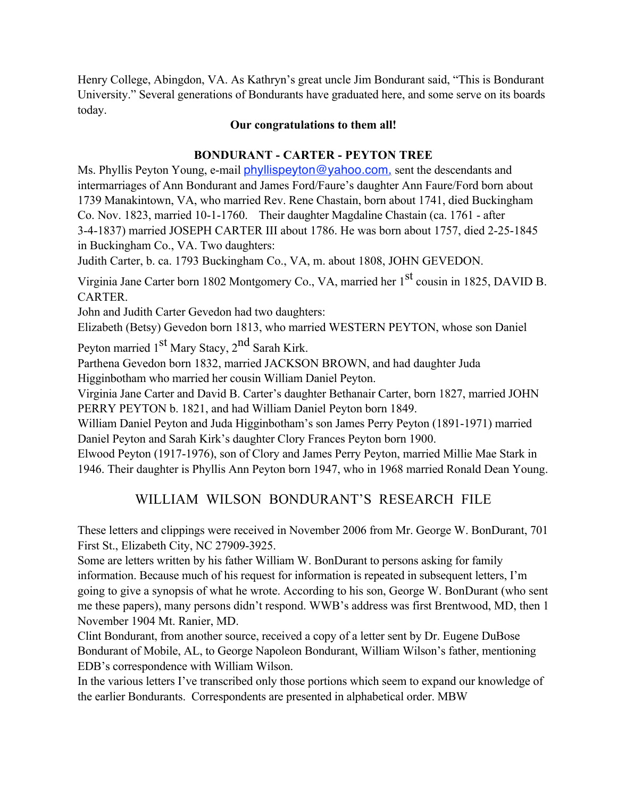Henry College, Abingdon, VA. As Kathryn's great uncle Jim Bondurant said, "This is Bondurant University." Several generations of Bondurants have graduated here, and some serve on its boards today.

#### **Our congratulations to them all!**

## **BONDURANT - CARTER - PEYTON TREE**

Ms. Phyllis Peyton Young, e-mail **phyllispeyton@yahoo.com**, sent the descendants and intermarriages of Ann Bondurant and James Ford/Faure's daughter Ann Faure/Ford born about 1739 Manakintown, VA, who married Rev. Rene Chastain, born about 1741, died Buckingham Co. Nov. 1823, married 10-1-1760. Their daughter Magdaline Chastain (ca. 1761 - after 3-4-1837) married JOSEPH CARTER III about 1786. He was born about 1757, died 2-25-1845 in Buckingham Co., VA. Two daughters:

Judith Carter, b. ca. 1793 Buckingham Co., VA, m. about 1808, JOHN GEVEDON.

Virginia Jane Carter born 1802 Montgomery Co., VA, married her 1<sup>st</sup> cousin in 1825, DAVID B. CARTER.

John and Judith Carter Gevedon had two daughters:

Elizabeth (Betsy) Gevedon born 1813, who married WESTERN PEYTON, whose son Daniel

Peyton married  $1<sup>st</sup>$  Mary Stacy,  $2<sup>nd</sup>$  Sarah Kirk.

Parthena Gevedon born 1832, married JACKSON BROWN, and had daughter Juda

Higginbotham who married her cousin William Daniel Peyton. Virginia Jane Carter and David B. Carter's daughter Bethanair Carter, born 1827, married JOHN

PERRY PEYTON b. 1821, and had William Daniel Peyton born 1849.

William Daniel Peyton and Juda Higginbotham's son James Perry Peyton (1891-1971) married Daniel Peyton and Sarah Kirk's daughter Clory Frances Peyton born 1900.

Elwood Peyton (1917-1976), son of Clory and James Perry Peyton, married Millie Mae Stark in 1946. Their daughter is Phyllis Ann Peyton born 1947, who in 1968 married Ronald Dean Young.

## WILLIAM WILSON BONDURANT'S RESEARCH FILE

These letters and clippings were received in November 2006 from Mr. George W. BonDurant, 701 First St., Elizabeth City, NC 27909-3925.

Some are letters written by his father William W. BonDurant to persons asking for family information. Because much of his request for information is repeated in subsequent letters, I'm going to give a synopsis of what he wrote. According to his son, George W. BonDurant (who sent me these papers), many persons didn't respond. WWB's address was first Brentwood, MD, then 1 November 1904 Mt. Ranier, MD.

Clint Bondurant, from another source, received a copy of a letter sent by Dr. Eugene DuBose Bondurant of Mobile, AL, to George Napoleon Bondurant, William Wilson's father, mentioning EDB's correspondence with William Wilson.

In the various letters I've transcribed only those portions which seem to expand our knowledge of the earlier Bondurants. Correspondents are presented in alphabetical order. MBW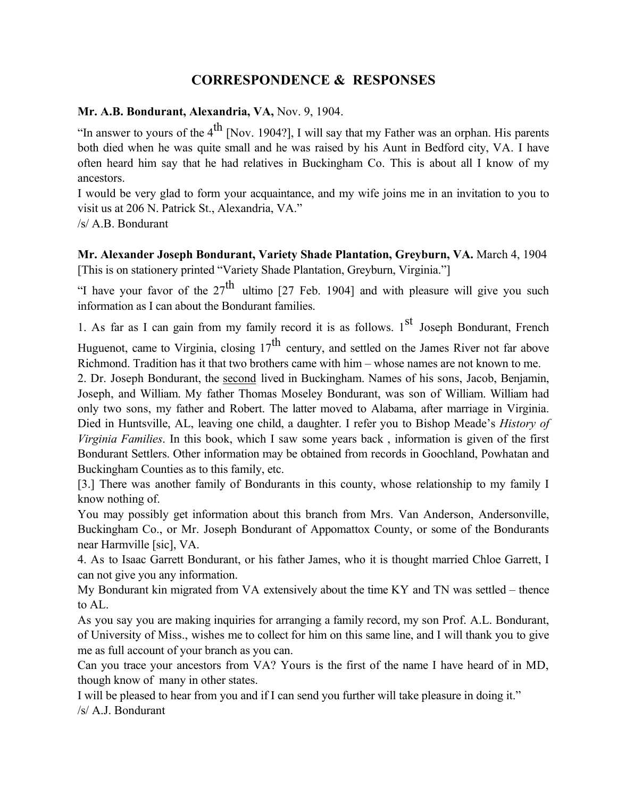## **CORRESPONDENCE & RESPONSES**

#### **Mr. A.B. Bondurant, Alexandria, VA,** Nov. 9, 1904.

"In answer to yours of the  $4<sup>th</sup>$  [Nov. 1904?], I will say that my Father was an orphan. His parents both died when he was quite small and he was raised by his Aunt in Bedford city, VA. I have often heard him say that he had relatives in Buckingham Co. This is about all I know of my ancestors.

I would be very glad to form your acquaintance, and my wife joins me in an invitation to you to visit us at 206 N. Patrick St., Alexandria, VA."

/s/ A.B. Bondurant

**Mr. Alexander Joseph Bondurant, Variety Shade Plantation, Greyburn, VA.** March 4, 1904 [This is on stationery printed "Variety Shade Plantation, Greyburn, Virginia."]

"I have your favor of the  $27<sup>th</sup>$  ultimo [27 Feb. 1904] and with pleasure will give you such information as I can about the Bondurant families.

1. As far as I can gain from my family record it is as follows.  $1<sup>st</sup>$  Joseph Bondurant, French

Huguenot, came to Virginia, closing  $17<sup>th</sup>$  century, and settled on the James River not far above Richmond. Tradition has it that two brothers came with him – whose names are not known to me.

2. Dr. Joseph Bondurant, the second lived in Buckingham. Names of his sons, Jacob, Benjamin, Joseph, and William. My father Thomas Moseley Bondurant, was son of William. William had only two sons, my father and Robert. The latter moved to Alabama, after marriage in Virginia. Died in Huntsville, AL, leaving one child, a daughter. I refer you to Bishop Meade's *History of Virginia Families*. In this book, which I saw some years back , information is given of the first Bondurant Settlers. Other information may be obtained from records in Goochland, Powhatan and Buckingham Counties as to this family, etc.

[3.] There was another family of Bondurants in this county, whose relationship to my family I know nothing of.

You may possibly get information about this branch from Mrs. Van Anderson, Andersonville, Buckingham Co., or Mr. Joseph Bondurant of Appomattox County, or some of the Bondurants near Harmville [sic], VA.

4. As to Isaac Garrett Bondurant, or his father James, who it is thought married Chloe Garrett, I can not give you any information.

My Bondurant kin migrated from VA extensively about the time KY and TN was settled – thence to AL.

As you say you are making inquiries for arranging a family record, my son Prof. A.L. Bondurant, of University of Miss., wishes me to collect for him on this same line, and I will thank you to give me as full account of your branch as you can.

Can you trace your ancestors from VA? Yours is the first of the name I have heard of in MD, though know of many in other states.

I will be pleased to hear from you and if I can send you further will take pleasure in doing it." /s/ A.J. Bondurant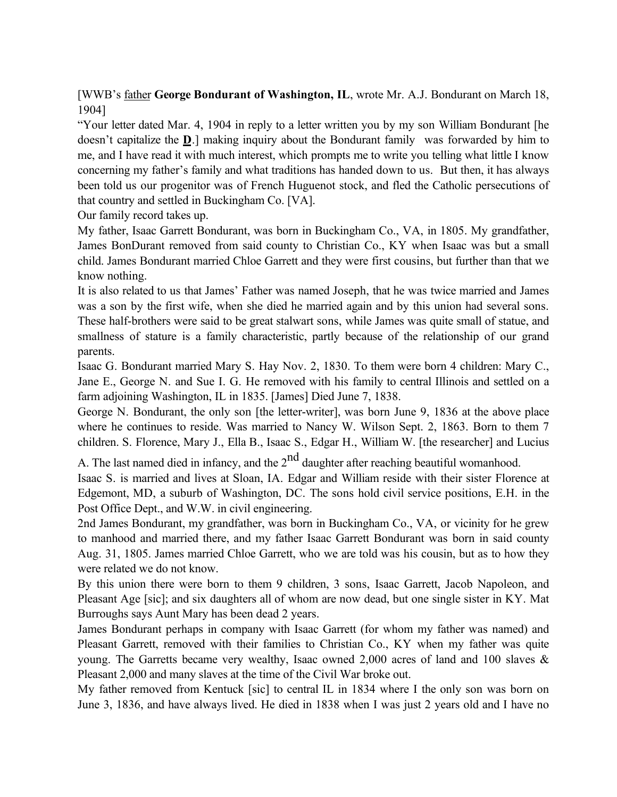[WWB's father **George Bondurant of Washington, IL**, wrote Mr. A.J. Bondurant on March 18, 1904]

"Your letter dated Mar. 4, 1904 in reply to a letter written you by my son William Bondurant [he doesn't capitalize the **D**.] making inquiry about the Bondurant family was forwarded by him to me, and I have read it with much interest, which prompts me to write you telling what little I know concerning my father's family and what traditions has handed down to us. But then, it has always been told us our progenitor was of French Huguenot stock, and fled the Catholic persecutions of that country and settled in Buckingham Co. [VA].

Our family record takes up.

My father, Isaac Garrett Bondurant, was born in Buckingham Co., VA, in 1805. My grandfather, James BonDurant removed from said county to Christian Co., KY when Isaac was but a small child. James Bondurant married Chloe Garrett and they were first cousins, but further than that we know nothing.

It is also related to us that James' Father was named Joseph, that he was twice married and James was a son by the first wife, when she died he married again and by this union had several sons. These half-brothers were said to be great stalwart sons, while James was quite small of statue, and smallness of stature is a family characteristic, partly because of the relationship of our grand parents.

Isaac G. Bondurant married Mary S. Hay Nov. 2, 1830. To them were born 4 children: Mary C., Jane E., George N. and Sue I. G. He removed with his family to central Illinois and settled on a farm adjoining Washington, IL in 1835. [James] Died June 7, 1838.

George N. Bondurant, the only son [the letter-writer], was born June 9, 1836 at the above place where he continues to reside. Was married to Nancy W. Wilson Sept. 2, 1863. Born to them 7 children. S. Florence, Mary J., Ella B., Isaac S., Edgar H., William W. [the researcher] and Lucius

A. The last named died in infancy, and the  $2<sup>nd</sup>$  daughter after reaching beautiful womanhood.

Isaac S. is married and lives at Sloan, IA. Edgar and William reside with their sister Florence at Edgemont, MD, a suburb of Washington, DC. The sons hold civil service positions, E.H. in the Post Office Dept., and W.W. in civil engineering.

2nd James Bondurant, my grandfather, was born in Buckingham Co., VA, or vicinity for he grew to manhood and married there, and my father Isaac Garrett Bondurant was born in said county Aug. 31, 1805. James married Chloe Garrett, who we are told was his cousin, but as to how they were related we do not know.

By this union there were born to them 9 children, 3 sons, Isaac Garrett, Jacob Napoleon, and Pleasant Age [sic]; and six daughters all of whom are now dead, but one single sister in KY. Mat Burroughs says Aunt Mary has been dead 2 years.

James Bondurant perhaps in company with Isaac Garrett (for whom my father was named) and Pleasant Garrett, removed with their families to Christian Co., KY when my father was quite young. The Garretts became very wealthy, Isaac owned 2,000 acres of land and 100 slaves & Pleasant 2,000 and many slaves at the time of the Civil War broke out.

My father removed from Kentuck [sic] to central IL in 1834 where I the only son was born on June 3, 1836, and have always lived. He died in 1838 when I was just 2 years old and I have no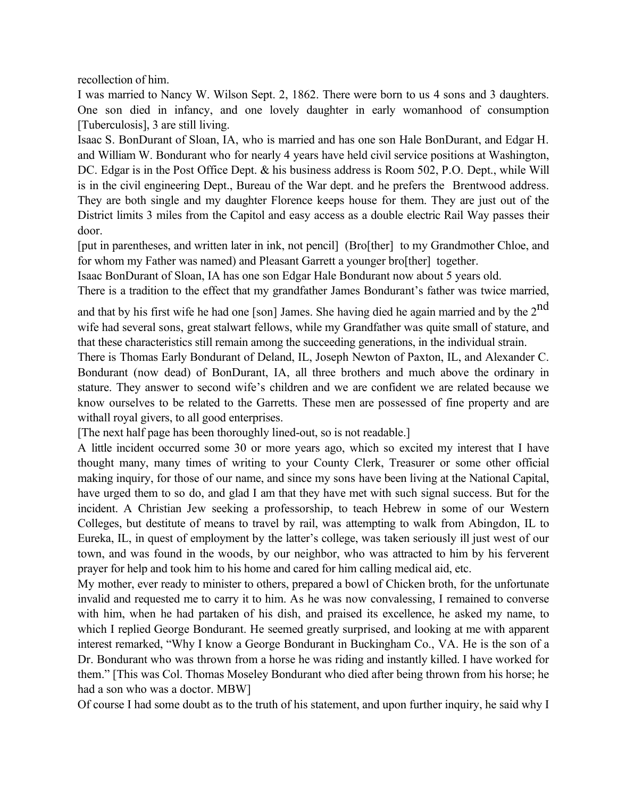recollection of him.

I was married to Nancy W. Wilson Sept. 2, 1862. There were born to us 4 sons and 3 daughters. One son died in infancy, and one lovely daughter in early womanhood of consumption [Tuberculosis], 3 are still living.

Isaac S. BonDurant of Sloan, IA, who is married and has one son Hale BonDurant, and Edgar H. and William W. Bondurant who for nearly 4 years have held civil service positions at Washington, DC. Edgar is in the Post Office Dept. & his business address is Room 502, P.O. Dept., while Will is in the civil engineering Dept., Bureau of the War dept. and he prefers the Brentwood address. They are both single and my daughter Florence keeps house for them. They are just out of the District limits 3 miles from the Capitol and easy access as a double electric Rail Way passes their door.

[put in parentheses, and written later in ink, not pencil] (Bro[ther] to my Grandmother Chloe, and for whom my Father was named) and Pleasant Garrett a younger bro[ther] together.

Isaac BonDurant of Sloan, IA has one son Edgar Hale Bondurant now about 5 years old.

There is a tradition to the effect that my grandfather James Bondurant's father was twice married,

and that by his first wife he had one [son] James. She having died he again married and by the  $2^{nd}$ wife had several sons, great stalwart fellows, while my Grandfather was quite small of stature, and that these characteristics still remain among the succeeding generations, in the individual strain.

There is Thomas Early Bondurant of Deland, IL, Joseph Newton of Paxton, IL, and Alexander C. Bondurant (now dead) of BonDurant, IA, all three brothers and much above the ordinary in stature. They answer to second wife's children and we are confident we are related because we know ourselves to be related to the Garretts. These men are possessed of fine property and are withall royal givers, to all good enterprises.

[The next half page has been thoroughly lined-out, so is not readable.]

A little incident occurred some 30 or more years ago, which so excited my interest that I have thought many, many times of writing to your County Clerk, Treasurer or some other official making inquiry, for those of our name, and since my sons have been living at the National Capital, have urged them to so do, and glad I am that they have met with such signal success. But for the incident. A Christian Jew seeking a professorship, to teach Hebrew in some of our Western Colleges, but destitute of means to travel by rail, was attempting to walk from Abingdon, IL to Eureka, IL, in quest of employment by the latter's college, was taken seriously ill just west of our town, and was found in the woods, by our neighbor, who was attracted to him by his ferverent prayer for help and took him to his home and cared for him calling medical aid, etc.

My mother, ever ready to minister to others, prepared a bowl of Chicken broth, for the unfortunate invalid and requested me to carry it to him. As he was now convalessing, I remained to converse with him, when he had partaken of his dish, and praised its excellence, he asked my name, to which I replied George Bondurant. He seemed greatly surprised, and looking at me with apparent interest remarked, "Why I know a George Bondurant in Buckingham Co., VA. He is the son of a Dr. Bondurant who was thrown from a horse he was riding and instantly killed. I have worked for them." [This was Col. Thomas Moseley Bondurant who died after being thrown from his horse; he had a son who was a doctor. MBW]

Of course I had some doubt as to the truth of his statement, and upon further inquiry, he said why I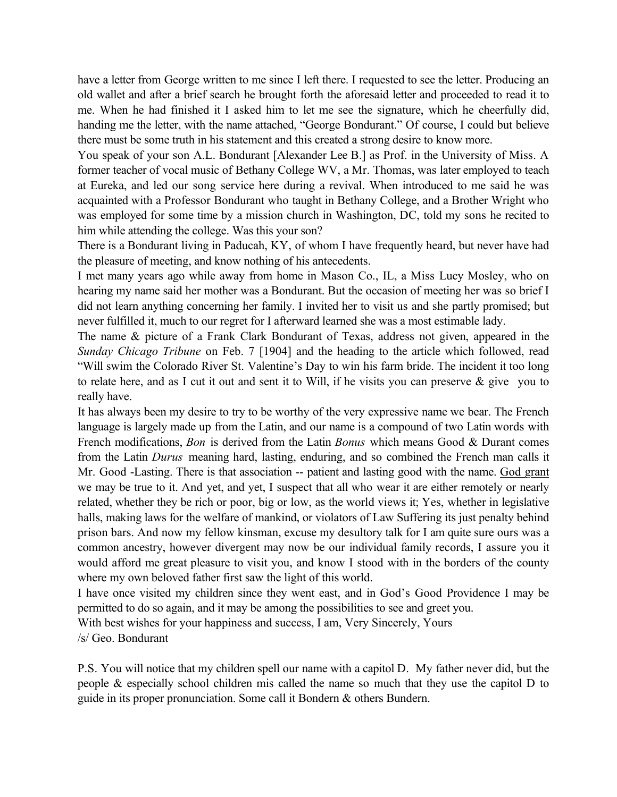have a letter from George written to me since I left there. I requested to see the letter. Producing an old wallet and after a brief search he brought forth the aforesaid letter and proceeded to read it to me. When he had finished it I asked him to let me see the signature, which he cheerfully did, handing me the letter, with the name attached, "George Bondurant." Of course, I could but believe there must be some truth in his statement and this created a strong desire to know more.

You speak of your son A.L. Bondurant [Alexander Lee B.] as Prof. in the University of Miss. A former teacher of vocal music of Bethany College WV, a Mr. Thomas, was later employed to teach at Eureka, and led our song service here during a revival. When introduced to me said he was acquainted with a Professor Bondurant who taught in Bethany College, and a Brother Wright who was employed for some time by a mission church in Washington, DC, told my sons he recited to him while attending the college. Was this your son?

There is a Bondurant living in Paducah, KY, of whom I have frequently heard, but never have had the pleasure of meeting, and know nothing of his antecedents.

I met many years ago while away from home in Mason Co., IL, a Miss Lucy Mosley, who on hearing my name said her mother was a Bondurant. But the occasion of meeting her was so brief I did not learn anything concerning her family. I invited her to visit us and she partly promised; but never fulfilled it, much to our regret for I afterward learned she was a most estimable lady.

The name & picture of a Frank Clark Bondurant of Texas, address not given, appeared in the *Sunday Chicago Tribune* on Feb. 7 [1904] and the heading to the article which followed, read "Will swim the Colorado River St. Valentine's Day to win his farm bride. The incident it too long to relate here, and as I cut it out and sent it to Will, if he visits you can preserve & give you to really have.

It has always been my desire to try to be worthy of the very expressive name we bear. The French language is largely made up from the Latin, and our name is a compound of two Latin words with French modifications, *Bon* is derived from the Latin *Bonus* which means Good & Durant comes from the Latin *Durus* meaning hard, lasting, enduring, and so combined the French man calls it Mr. Good -Lasting. There is that association -- patient and lasting good with the name. God grant we may be true to it. And yet, and yet, I suspect that all who wear it are either remotely or nearly related, whether they be rich or poor, big or low, as the world views it; Yes, whether in legislative halls, making laws for the welfare of mankind, or violators of Law Suffering its just penalty behind prison bars. And now my fellow kinsman, excuse my desultory talk for I am quite sure ours was a common ancestry, however divergent may now be our individual family records, I assure you it would afford me great pleasure to visit you, and know I stood with in the borders of the county where my own beloved father first saw the light of this world.

I have once visited my children since they went east, and in God's Good Providence I may be permitted to do so again, and it may be among the possibilities to see and greet you.

With best wishes for your happiness and success, I am, Very Sincerely, Yours

/s/ Geo. Bondurant

P.S. You will notice that my children spell our name with a capitol D. My father never did, but the people & especially school children mis called the name so much that they use the capitol D to guide in its proper pronunciation. Some call it Bondern & others Bundern.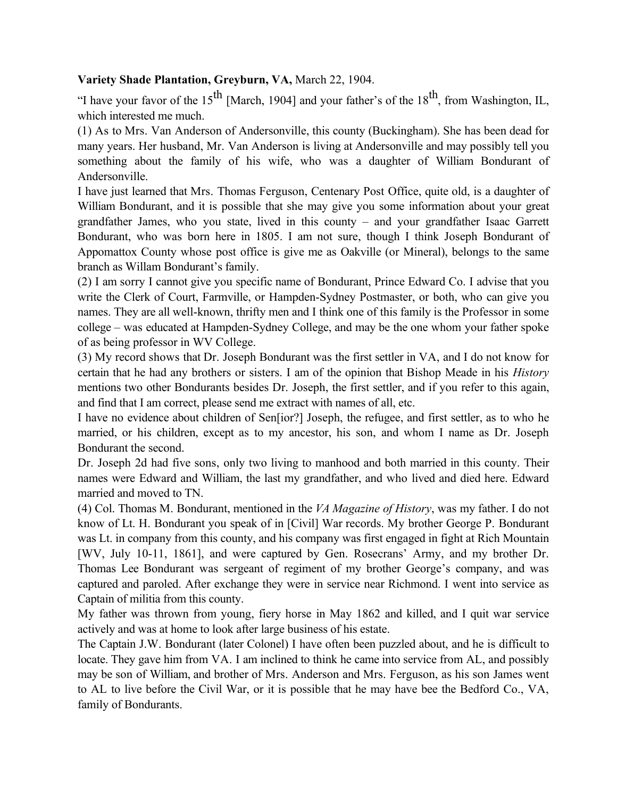### **Variety Shade Plantation, Greyburn, VA,** March 22, 1904.

"I have your favor of the 15<sup>th</sup> [March, 1904] and your father's of the 18<sup>th</sup>, from Washington, IL, which interested me much.

(1) As to Mrs. Van Anderson of Andersonville, this county (Buckingham). She has been dead for many years. Her husband, Mr. Van Anderson is living at Andersonville and may possibly tell you something about the family of his wife, who was a daughter of William Bondurant of Andersonville.

I have just learned that Mrs. Thomas Ferguson, Centenary Post Office, quite old, is a daughter of William Bondurant, and it is possible that she may give you some information about your great grandfather James, who you state, lived in this county – and your grandfather Isaac Garrett Bondurant, who was born here in 1805. I am not sure, though I think Joseph Bondurant of Appomattox County whose post office is give me as Oakville (or Mineral), belongs to the same branch as Willam Bondurant's family.

(2) I am sorry I cannot give you specific name of Bondurant, Prince Edward Co. I advise that you write the Clerk of Court, Farmville, or Hampden-Sydney Postmaster, or both, who can give you names. They are all well-known, thrifty men and I think one of this family is the Professor in some college – was educated at Hampden-Sydney College, and may be the one whom your father spoke of as being professor in WV College.

(3) My record shows that Dr. Joseph Bondurant was the first settler in VA, and I do not know for certain that he had any brothers or sisters. I am of the opinion that Bishop Meade in his *History* mentions two other Bondurants besides Dr. Joseph, the first settler, and if you refer to this again, and find that I am correct, please send me extract with names of all, etc.

I have no evidence about children of Sen[ior?] Joseph, the refugee, and first settler, as to who he married, or his children, except as to my ancestor, his son, and whom I name as Dr. Joseph Bondurant the second.

Dr. Joseph 2d had five sons, only two living to manhood and both married in this county. Their names were Edward and William, the last my grandfather, and who lived and died here. Edward married and moved to TN.

(4) Col. Thomas M. Bondurant, mentioned in the *VA Magazine of History*, was my father. I do not know of Lt. H. Bondurant you speak of in [Civil] War records. My brother George P. Bondurant was Lt. in company from this county, and his company was first engaged in fight at Rich Mountain [WV, July 10-11, 1861], and were captured by Gen. Rosecrans' Army, and my brother Dr. Thomas Lee Bondurant was sergeant of regiment of my brother George's company, and was captured and paroled. After exchange they were in service near Richmond. I went into service as Captain of militia from this county.

My father was thrown from young, fiery horse in May 1862 and killed, and I quit war service actively and was at home to look after large business of his estate.

The Captain J.W. Bondurant (later Colonel) I have often been puzzled about, and he is difficult to locate. They gave him from VA. I am inclined to think he came into service from AL, and possibly may be son of William, and brother of Mrs. Anderson and Mrs. Ferguson, as his son James went to AL to live before the Civil War, or it is possible that he may have bee the Bedford Co., VA, family of Bondurants.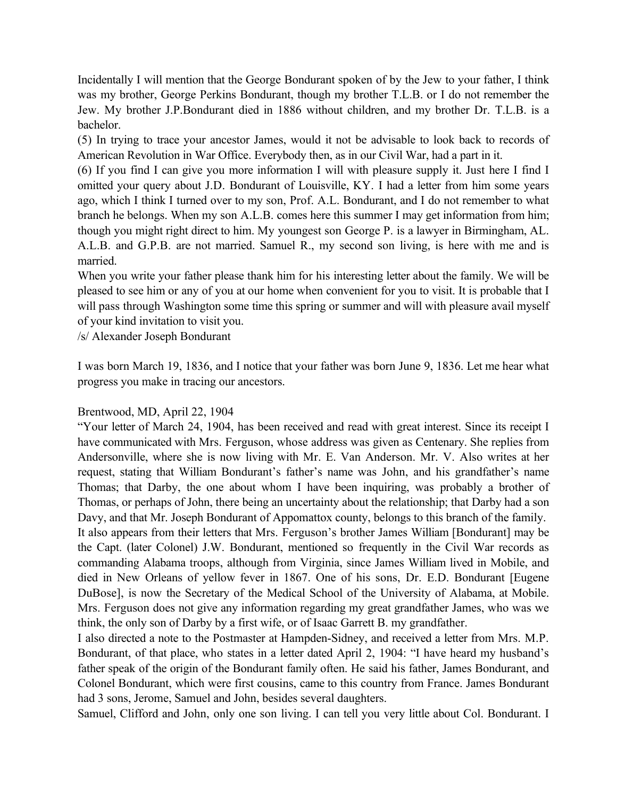Incidentally I will mention that the George Bondurant spoken of by the Jew to your father, I think was my brother, George Perkins Bondurant, though my brother T.L.B. or I do not remember the Jew. My brother J.P.Bondurant died in 1886 without children, and my brother Dr. T.L.B. is a bachelor.

(5) In trying to trace your ancestor James, would it not be advisable to look back to records of American Revolution in War Office. Everybody then, as in our Civil War, had a part in it.

(6) If you find I can give you more information I will with pleasure supply it. Just here I find I omitted your query about J.D. Bondurant of Louisville, KY. I had a letter from him some years ago, which I think I turned over to my son, Prof. A.L. Bondurant, and I do not remember to what branch he belongs. When my son A.L.B. comes here this summer I may get information from him; though you might right direct to him. My youngest son George P. is a lawyer in Birmingham, AL. A.L.B. and G.P.B. are not married. Samuel R., my second son living, is here with me and is married.

When you write your father please thank him for his interesting letter about the family. We will be pleased to see him or any of you at our home when convenient for you to visit. It is probable that I will pass through Washington some time this spring or summer and will with pleasure avail myself of your kind invitation to visit you.

/s/ Alexander Joseph Bondurant

I was born March 19, 1836, and I notice that your father was born June 9, 1836. Let me hear what progress you make in tracing our ancestors.

#### Brentwood, MD, April 22, 1904

"Your letter of March 24, 1904, has been received and read with great interest. Since its receipt I have communicated with Mrs. Ferguson, whose address was given as Centenary. She replies from Andersonville, where she is now living with Mr. E. Van Anderson. Mr. V. Also writes at her request, stating that William Bondurant's father's name was John, and his grandfather's name Thomas; that Darby, the one about whom I have been inquiring, was probably a brother of Thomas, or perhaps of John, there being an uncertainty about the relationship; that Darby had a son Davy, and that Mr. Joseph Bondurant of Appomattox county, belongs to this branch of the family.

It also appears from their letters that Mrs. Ferguson's brother James William [Bondurant] may be the Capt. (later Colonel) J.W. Bondurant, mentioned so frequently in the Civil War records as commanding Alabama troops, although from Virginia, since James William lived in Mobile, and died in New Orleans of yellow fever in 1867. One of his sons, Dr. E.D. Bondurant [Eugene DuBose], is now the Secretary of the Medical School of the University of Alabama, at Mobile. Mrs. Ferguson does not give any information regarding my great grandfather James, who was we think, the only son of Darby by a first wife, or of Isaac Garrett B. my grandfather.

I also directed a note to the Postmaster at Hampden-Sidney, and received a letter from Mrs. M.P. Bondurant, of that place, who states in a letter dated April 2, 1904: "I have heard my husband's father speak of the origin of the Bondurant family often. He said his father, James Bondurant, and Colonel Bondurant, which were first cousins, came to this country from France. James Bondurant had 3 sons, Jerome, Samuel and John, besides several daughters.

Samuel, Clifford and John, only one son living. I can tell you very little about Col. Bondurant. I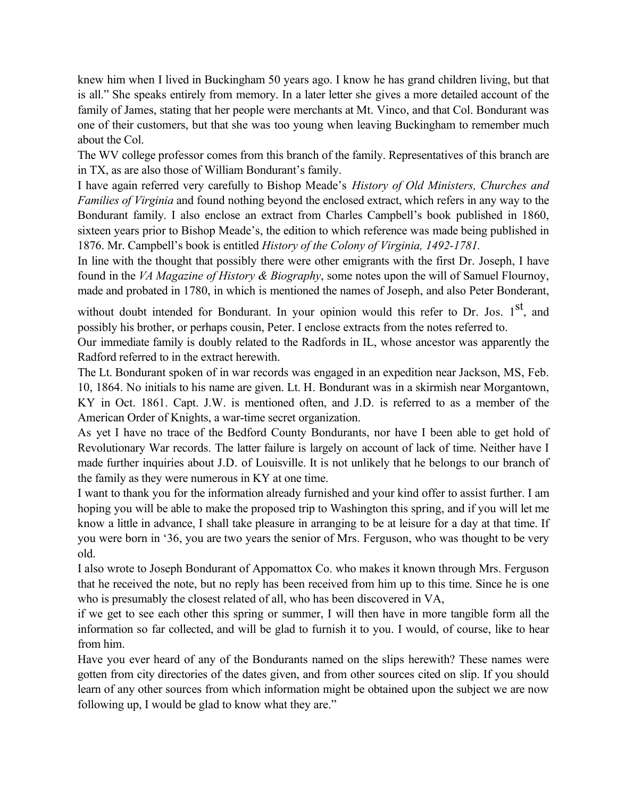knew him when I lived in Buckingham 50 years ago. I know he has grand children living, but that is all." She speaks entirely from memory. In a later letter she gives a more detailed account of the family of James, stating that her people were merchants at Mt. Vinco, and that Col. Bondurant was one of their customers, but that she was too young when leaving Buckingham to remember much about the Col.

The WV college professor comes from this branch of the family. Representatives of this branch are in TX, as are also those of William Bondurant's family.

I have again referred very carefully to Bishop Meade's *History of Old Ministers, Churches and Families of Virginia* and found nothing beyond the enclosed extract, which refers in any way to the Bondurant family. I also enclose an extract from Charles Campbell's book published in 1860, sixteen years prior to Bishop Meade's, the edition to which reference was made being published in 1876. Mr. Campbell's book is entitled *History of the Colony of Virginia, 1492-1781.*

In line with the thought that possibly there were other emigrants with the first Dr. Joseph, I have found in the *VA Magazine of History & Biography*, some notes upon the will of Samuel Flournoy, made and probated in 1780, in which is mentioned the names of Joseph, and also Peter Bonderant,

without doubt intended for Bondurant. In your opinion would this refer to Dr. Jos. 1<sup>st</sup>, and possibly his brother, or perhaps cousin, Peter. I enclose extracts from the notes referred to.

Our immediate family is doubly related to the Radfords in IL, whose ancestor was apparently the Radford referred to in the extract herewith.

The Lt. Bondurant spoken of in war records was engaged in an expedition near Jackson, MS, Feb. 10, 1864. No initials to his name are given. Lt. H. Bondurant was in a skirmish near Morgantown,

KY in Oct. 1861. Capt. J.W. is mentioned often, and J.D. is referred to as a member of the American Order of Knights, a war-time secret organization.

As yet I have no trace of the Bedford County Bondurants, nor have I been able to get hold of Revolutionary War records. The latter failure is largely on account of lack of time. Neither have I made further inquiries about J.D. of Louisville. It is not unlikely that he belongs to our branch of the family as they were numerous in KY at one time.

I want to thank you for the information already furnished and your kind offer to assist further. I am hoping you will be able to make the proposed trip to Washington this spring, and if you will let me know a little in advance, I shall take pleasure in arranging to be at leisure for a day at that time. If you were born in '36, you are two years the senior of Mrs. Ferguson, who was thought to be very old.

I also wrote to Joseph Bondurant of Appomattox Co. who makes it known through Mrs. Ferguson that he received the note, but no reply has been received from him up to this time. Since he is one who is presumably the closest related of all, who has been discovered in VA,

if we get to see each other this spring or summer, I will then have in more tangible form all the information so far collected, and will be glad to furnish it to you. I would, of course, like to hear from him.

Have you ever heard of any of the Bondurants named on the slips herewith? These names were gotten from city directories of the dates given, and from other sources cited on slip. If you should learn of any other sources from which information might be obtained upon the subject we are now following up, I would be glad to know what they are."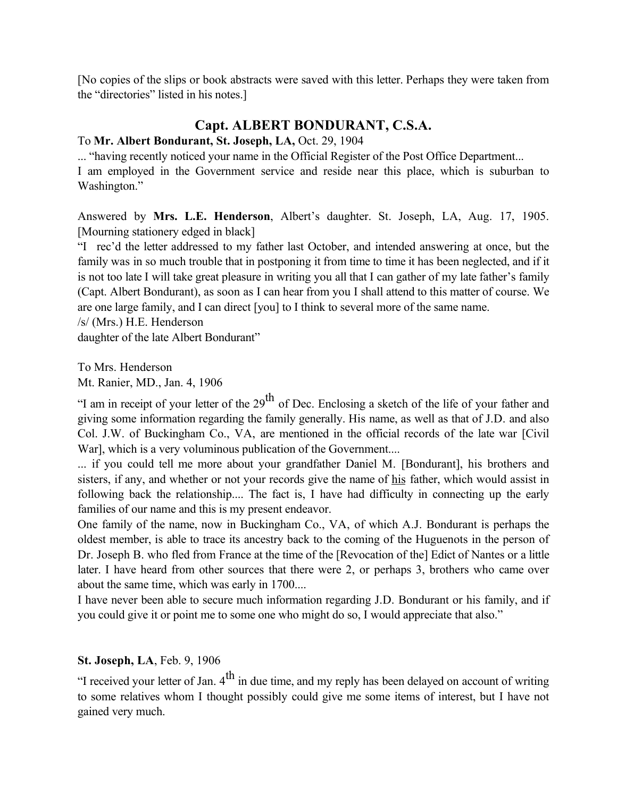[No copies of the slips or book abstracts were saved with this letter. Perhaps they were taken from the "directories" listed in his notes.]

## **Capt. ALBERT BONDURANT, C.S.A.**

#### To **Mr. Albert Bondurant, St. Joseph, LA,** Oct. 29, 1904

... "having recently noticed your name in the Official Register of the Post Office Department... I am employed in the Government service and reside near this place, which is suburban to Washington."

Answered by **Mrs. L.E. Henderson**, Albert's daughter. St. Joseph, LA, Aug. 17, 1905. [Mourning stationery edged in black]

"I rec'd the letter addressed to my father last October, and intended answering at once, but the family was in so much trouble that in postponing it from time to time it has been neglected, and if it is not too late I will take great pleasure in writing you all that I can gather of my late father's family (Capt. Albert Bondurant), as soon as I can hear from you I shall attend to this matter of course. We are one large family, and I can direct [you] to I think to several more of the same name.

/s/ (Mrs.) H.E. Henderson

daughter of the late Albert Bondurant"

To Mrs. Henderson

Mt. Ranier, MD., Jan. 4, 1906

"I am in receipt of your letter of the  $29<sup>th</sup>$  of Dec. Enclosing a sketch of the life of your father and giving some information regarding the family generally. His name, as well as that of J.D. and also Col. J.W. of Buckingham Co., VA, are mentioned in the official records of the late war [Civil War], which is a very voluminous publication of the Government....

... if you could tell me more about your grandfather Daniel M. [Bondurant], his brothers and sisters, if any, and whether or not your records give the name of his father, which would assist in following back the relationship.... The fact is, I have had difficulty in connecting up the early families of our name and this is my present endeavor.

One family of the name, now in Buckingham Co., VA, of which A.J. Bondurant is perhaps the oldest member, is able to trace its ancestry back to the coming of the Huguenots in the person of Dr. Joseph B. who fled from France at the time of the [Revocation of the] Edict of Nantes or a little later. I have heard from other sources that there were 2, or perhaps 3, brothers who came over about the same time, which was early in 1700....

I have never been able to secure much information regarding J.D. Bondurant or his family, and if you could give it or point me to some one who might do so, I would appreciate that also."

#### **St. Joseph, LA**, Feb. 9, 1906

"I received your letter of Jan.  $4<sup>th</sup>$  in due time, and my reply has been delayed on account of writing to some relatives whom I thought possibly could give me some items of interest, but I have not gained very much.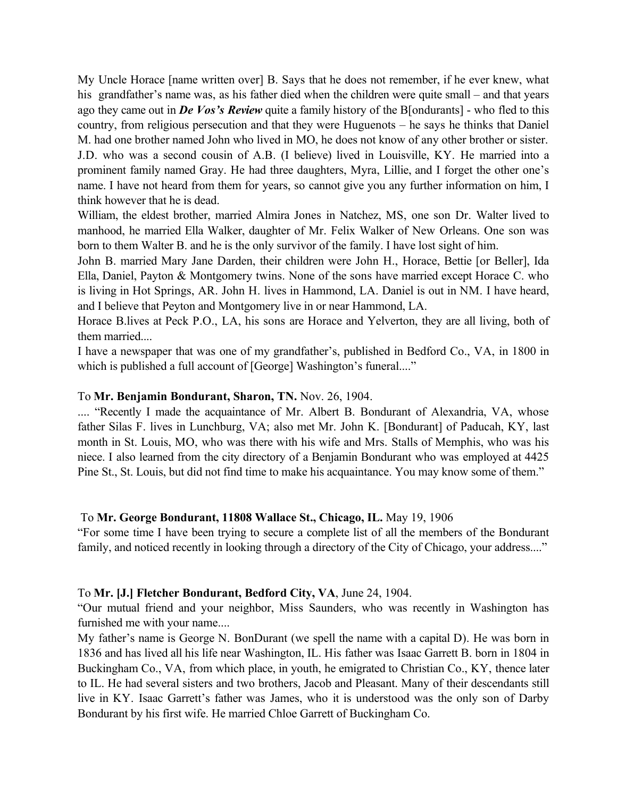My Uncle Horace [name written over] B. Says that he does not remember, if he ever knew, what his grandfather's name was, as his father died when the children were quite small – and that years ago they came out in *De Vos's Review* quite a family history of the B[ondurants] - who fled to this country, from religious persecution and that they were Huguenots – he says he thinks that Daniel M. had one brother named John who lived in MO, he does not know of any other brother or sister. J.D. who was a second cousin of A.B. (I believe) lived in Louisville, KY. He married into a prominent family named Gray. He had three daughters, Myra, Lillie, and I forget the other one's name. I have not heard from them for years, so cannot give you any further information on him, I think however that he is dead.

William, the eldest brother, married Almira Jones in Natchez, MS, one son Dr. Walter lived to manhood, he married Ella Walker, daughter of Mr. Felix Walker of New Orleans. One son was born to them Walter B. and he is the only survivor of the family. I have lost sight of him.

John B. married Mary Jane Darden, their children were John H., Horace, Bettie [or Beller], Ida Ella, Daniel, Payton & Montgomery twins. None of the sons have married except Horace C. who is living in Hot Springs, AR. John H. lives in Hammond, LA. Daniel is out in NM. I have heard, and I believe that Peyton and Montgomery live in or near Hammond, LA.

Horace B.lives at Peck P.O., LA, his sons are Horace and Yelverton, they are all living, both of them married....

I have a newspaper that was one of my grandfather's, published in Bedford Co., VA, in 1800 in which is published a full account of [George] Washington's funeral...."

#### To **Mr. Benjamin Bondurant, Sharon, TN.** Nov. 26, 1904.

.... "Recently I made the acquaintance of Mr. Albert B. Bondurant of Alexandria, VA, whose father Silas F. lives in Lunchburg, VA; also met Mr. John K. [Bondurant] of Paducah, KY, last month in St. Louis, MO, who was there with his wife and Mrs. Stalls of Memphis, who was his niece. I also learned from the city directory of a Benjamin Bondurant who was employed at 4425 Pine St., St. Louis, but did not find time to make his acquaintance. You may know some of them."

#### To **Mr. George Bondurant, 11808 Wallace St., Chicago, IL.** May 19, 1906

"For some time I have been trying to secure a complete list of all the members of the Bondurant family, and noticed recently in looking through a directory of the City of Chicago, your address...."

#### To **Mr. [J.] Fletcher Bondurant, Bedford City, VA**, June 24, 1904.

"Our mutual friend and your neighbor, Miss Saunders, who was recently in Washington has furnished me with your name....

My father's name is George N. BonDurant (we spell the name with a capital D). He was born in 1836 and has lived all his life near Washington, IL. His father was Isaac Garrett B. born in 1804 in Buckingham Co., VA, from which place, in youth, he emigrated to Christian Co., KY, thence later to IL. He had several sisters and two brothers, Jacob and Pleasant. Many of their descendants still live in KY. Isaac Garrett's father was James, who it is understood was the only son of Darby Bondurant by his first wife. He married Chloe Garrett of Buckingham Co.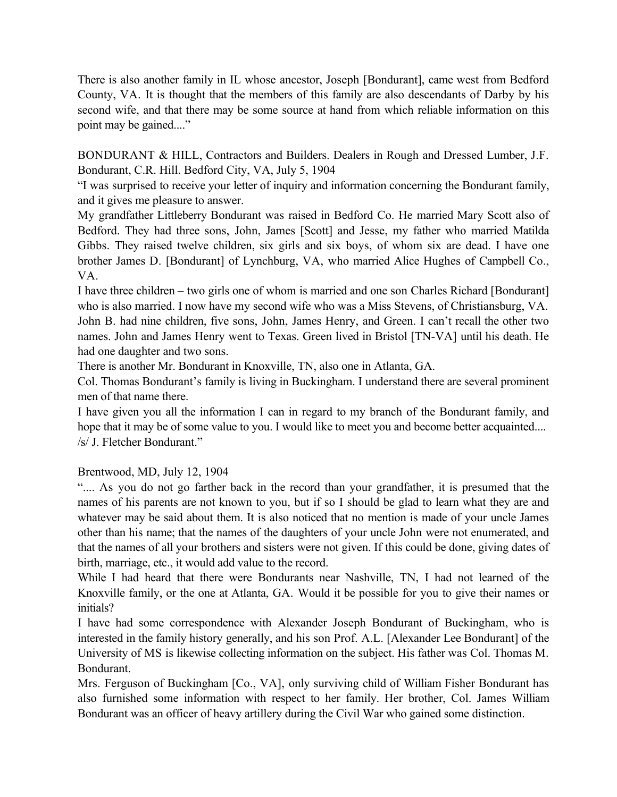There is also another family in IL whose ancestor, Joseph [Bondurant], came west from Bedford County, VA. It is thought that the members of this family are also descendants of Darby by his second wife, and that there may be some source at hand from which reliable information on this point may be gained...."

BONDURANT & HILL, Contractors and Builders. Dealers in Rough and Dressed Lumber, J.F. Bondurant, C.R. Hill. Bedford City, VA, July 5, 1904

"I was surprised to receive your letter of inquiry and information concerning the Bondurant family, and it gives me pleasure to answer.

My grandfather Littleberry Bondurant was raised in Bedford Co. He married Mary Scott also of Bedford. They had three sons, John, James [Scott] and Jesse, my father who married Matilda Gibbs. They raised twelve children, six girls and six boys, of whom six are dead. I have one brother James D. [Bondurant] of Lynchburg, VA, who married Alice Hughes of Campbell Co., VA.

I have three children – two girls one of whom is married and one son Charles Richard [Bondurant] who is also married. I now have my second wife who was a Miss Stevens, of Christiansburg, VA. John B. had nine children, five sons, John, James Henry, and Green. I can't recall the other two names. John and James Henry went to Texas. Green lived in Bristol [TN-VA] until his death. He had one daughter and two sons.

There is another Mr. Bondurant in Knoxville, TN, also one in Atlanta, GA.

Col. Thomas Bondurant's family is living in Buckingham. I understand there are several prominent men of that name there.

I have given you all the information I can in regard to my branch of the Bondurant family, and hope that it may be of some value to you. I would like to meet you and become better acquainted.... /s/ J. Fletcher Bondurant."

#### Brentwood, MD, July 12, 1904

".... As you do not go farther back in the record than your grandfather, it is presumed that the names of his parents are not known to you, but if so I should be glad to learn what they are and whatever may be said about them. It is also noticed that no mention is made of your uncle James other than his name; that the names of the daughters of your uncle John were not enumerated, and that the names of all your brothers and sisters were not given. If this could be done, giving dates of birth, marriage, etc., it would add value to the record.

While I had heard that there were Bondurants near Nashville, TN, I had not learned of the Knoxville family, or the one at Atlanta, GA. Would it be possible for you to give their names or initials?

I have had some correspondence with Alexander Joseph Bondurant of Buckingham, who is interested in the family history generally, and his son Prof. A.L. [Alexander Lee Bondurant] of the University of MS is likewise collecting information on the subject. His father was Col. Thomas M. Bondurant.

Mrs. Ferguson of Buckingham [Co., VA], only surviving child of William Fisher Bondurant has also furnished some information with respect to her family. Her brother, Col. James William Bondurant was an officer of heavy artillery during the Civil War who gained some distinction.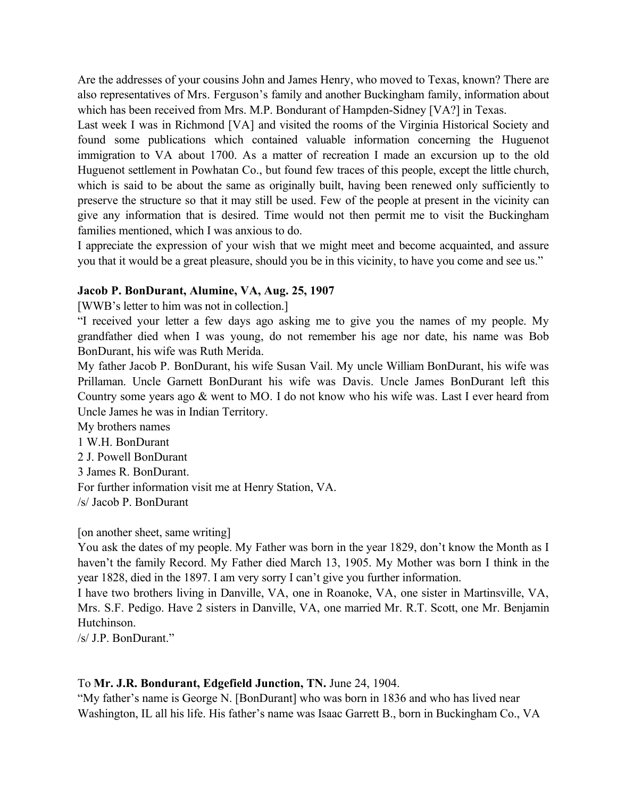Are the addresses of your cousins John and James Henry, who moved to Texas, known? There are also representatives of Mrs. Ferguson's family and another Buckingham family, information about which has been received from Mrs. M.P. Bondurant of Hampden-Sidney [VA?] in Texas.

Last week I was in Richmond [VA] and visited the rooms of the Virginia Historical Society and found some publications which contained valuable information concerning the Huguenot immigration to VA about 1700. As a matter of recreation I made an excursion up to the old Huguenot settlement in Powhatan Co., but found few traces of this people, except the little church, which is said to be about the same as originally built, having been renewed only sufficiently to preserve the structure so that it may still be used. Few of the people at present in the vicinity can give any information that is desired. Time would not then permit me to visit the Buckingham families mentioned, which I was anxious to do.

I appreciate the expression of your wish that we might meet and become acquainted, and assure you that it would be a great pleasure, should you be in this vicinity, to have you come and see us."

#### **Jacob P. BonDurant, Alumine, VA, Aug. 25, 1907**

[WWB's letter to him was not in collection.]

"I received your letter a few days ago asking me to give you the names of my people. My grandfather died when I was young, do not remember his age nor date, his name was Bob BonDurant, his wife was Ruth Merida.

My father Jacob P. BonDurant, his wife Susan Vail. My uncle William BonDurant, his wife was Prillaman. Uncle Garnett BonDurant his wife was Davis. Uncle James BonDurant left this Country some years ago  $\&$  went to MO. I do not know who his wife was. Last I ever heard from Uncle James he was in Indian Territory.

My brothers names

1 W.H. BonDurant

2 J. Powell BonDurant

3 James R. BonDurant.

For further information visit me at Henry Station, VA.

/s/ Jacob P. BonDurant

[on another sheet, same writing]

You ask the dates of my people. My Father was born in the year 1829, don't know the Month as I haven't the family Record. My Father died March 13, 1905. My Mother was born I think in the year 1828, died in the 1897. I am very sorry I can't give you further information.

I have two brothers living in Danville, VA, one in Roanoke, VA, one sister in Martinsville, VA, Mrs. S.F. Pedigo. Have 2 sisters in Danville, VA, one married Mr. R.T. Scott, one Mr. Benjamin Hutchinson.

/s/ J.P. BonDurant."

#### To **Mr. J.R. Bondurant, Edgefield Junction, TN.** June 24, 1904.

"My father's name is George N. [BonDurant] who was born in 1836 and who has lived near Washington, IL all his life. His father's name was Isaac Garrett B., born in Buckingham Co., VA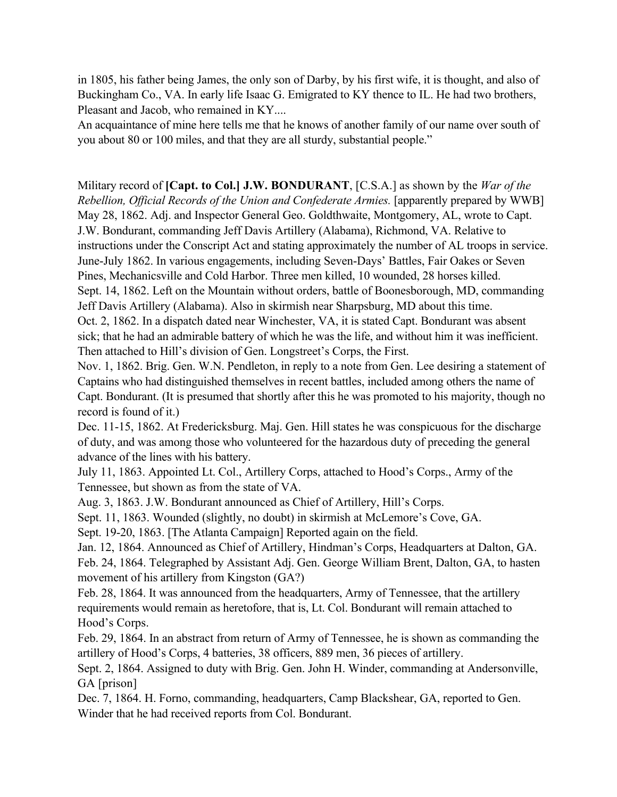in 1805, his father being James, the only son of Darby, by his first wife, it is thought, and also of Buckingham Co., VA. In early life Isaac G. Emigrated to KY thence to IL. He had two brothers, Pleasant and Jacob, who remained in KY....

An acquaintance of mine here tells me that he knows of another family of our name over south of you about 80 or 100 miles, and that they are all sturdy, substantial people."

Military record of **[Capt. to Col.] J.W. BONDURANT**, [C.S.A.] as shown by the *War of the Rebellion, Official Records of the Union and Confederate Armies.* [apparently prepared by WWB] May 28, 1862. Adj. and Inspector General Geo. Goldthwaite, Montgomery, AL, wrote to Capt. J.W. Bondurant, commanding Jeff Davis Artillery (Alabama), Richmond, VA. Relative to instructions under the Conscript Act and stating approximately the number of AL troops in service. June-July 1862. In various engagements, including Seven-Days' Battles, Fair Oakes or Seven Pines, Mechanicsville and Cold Harbor. Three men killed, 10 wounded, 28 horses killed. Sept. 14, 1862. Left on the Mountain without orders, battle of Boonesborough, MD, commanding Jeff Davis Artillery (Alabama). Also in skirmish near Sharpsburg, MD about this time. Oct. 2, 1862. In a dispatch dated near Winchester, VA, it is stated Capt. Bondurant was absent sick; that he had an admirable battery of which he was the life, and without him it was inefficient. Then attached to Hill's division of Gen. Longstreet's Corps, the First.

Nov. 1, 1862. Brig. Gen. W.N. Pendleton, in reply to a note from Gen. Lee desiring a statement of Captains who had distinguished themselves in recent battles, included among others the name of Capt. Bondurant. (It is presumed that shortly after this he was promoted to his majority, though no record is found of it.)

Dec. 11-15, 1862. At Fredericksburg. Maj. Gen. Hill states he was conspicuous for the discharge of duty, and was among those who volunteered for the hazardous duty of preceding the general advance of the lines with his battery.

July 11, 1863. Appointed Lt. Col., Artillery Corps, attached to Hood's Corps., Army of the Tennessee, but shown as from the state of VA.

Aug. 3, 1863. J.W. Bondurant announced as Chief of Artillery, Hill's Corps.

Sept. 11, 1863. Wounded (slightly, no doubt) in skirmish at McLemore's Cove, GA.

Sept. 19-20, 1863. [The Atlanta Campaign] Reported again on the field.

Jan. 12, 1864. Announced as Chief of Artillery, Hindman's Corps, Headquarters at Dalton, GA. Feb. 24, 1864. Telegraphed by Assistant Adj. Gen. George William Brent, Dalton, GA, to hasten movement of his artillery from Kingston (GA?)

Feb. 28, 1864. It was announced from the headquarters, Army of Tennessee, that the artillery requirements would remain as heretofore, that is, Lt. Col. Bondurant will remain attached to Hood's Corps.

Feb. 29, 1864. In an abstract from return of Army of Tennessee, he is shown as commanding the artillery of Hood's Corps, 4 batteries, 38 officers, 889 men, 36 pieces of artillery.

Sept. 2, 1864. Assigned to duty with Brig. Gen. John H. Winder, commanding at Andersonville, GA [prison]

Dec. 7, 1864. H. Forno, commanding, headquarters, Camp Blackshear, GA, reported to Gen. Winder that he had received reports from Col. Bondurant.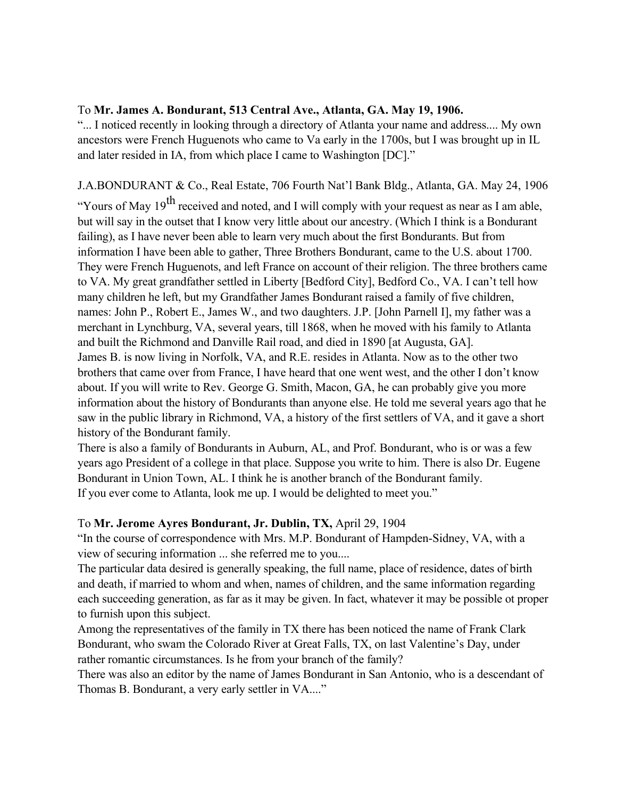#### To **Mr. James A. Bondurant, 513 Central Ave., Atlanta, GA. May 19, 1906.**

"... I noticed recently in looking through a directory of Atlanta your name and address.... My own ancestors were French Huguenots who came to Va early in the 1700s, but I was brought up in IL and later resided in IA, from which place I came to Washington [DC]."

### J.A.BONDURANT & Co., Real Estate, 706 Fourth Nat'l Bank Bldg., Atlanta, GA. May 24, 1906

"Yours of May  $19<sup>th</sup>$  received and noted, and I will comply with your request as near as I am able, but will say in the outset that I know very little about our ancestry. (Which I think is a Bondurant failing), as I have never been able to learn very much about the first Bondurants. But from information I have been able to gather, Three Brothers Bondurant, came to the U.S. about 1700. They were French Huguenots, and left France on account of their religion. The three brothers came to VA. My great grandfather settled in Liberty [Bedford City], Bedford Co., VA. I can't tell how many children he left, but my Grandfather James Bondurant raised a family of five children, names: John P., Robert E., James W., and two daughters. J.P. [John Parnell I], my father was a merchant in Lynchburg, VA, several years, till 1868, when he moved with his family to Atlanta and built the Richmond and Danville Rail road, and died in 1890 [at Augusta, GA]. James B. is now living in Norfolk, VA, and R.E. resides in Atlanta. Now as to the other two brothers that came over from France, I have heard that one went west, and the other I don't know about. If you will write to Rev. George G. Smith, Macon, GA, he can probably give you more information about the history of Bondurants than anyone else. He told me several years ago that he saw in the public library in Richmond, VA, a history of the first settlers of VA, and it gave a short history of the Bondurant family.

There is also a family of Bondurants in Auburn, AL, and Prof. Bondurant, who is or was a few years ago President of a college in that place. Suppose you write to him. There is also Dr. Eugene Bondurant in Union Town, AL. I think he is another branch of the Bondurant family. If you ever come to Atlanta, look me up. I would be delighted to meet you."

#### To **Mr. Jerome Ayres Bondurant, Jr. Dublin, TX,** April 29, 1904

"In the course of correspondence with Mrs. M.P. Bondurant of Hampden-Sidney, VA, with a view of securing information ... she referred me to you....

The particular data desired is generally speaking, the full name, place of residence, dates of birth and death, if married to whom and when, names of children, and the same information regarding each succeeding generation, as far as it may be given. In fact, whatever it may be possible ot proper to furnish upon this subject.

Among the representatives of the family in TX there has been noticed the name of Frank Clark Bondurant, who swam the Colorado River at Great Falls, TX, on last Valentine's Day, under rather romantic circumstances. Is he from your branch of the family?

There was also an editor by the name of James Bondurant in San Antonio, who is a descendant of Thomas B. Bondurant, a very early settler in VA...."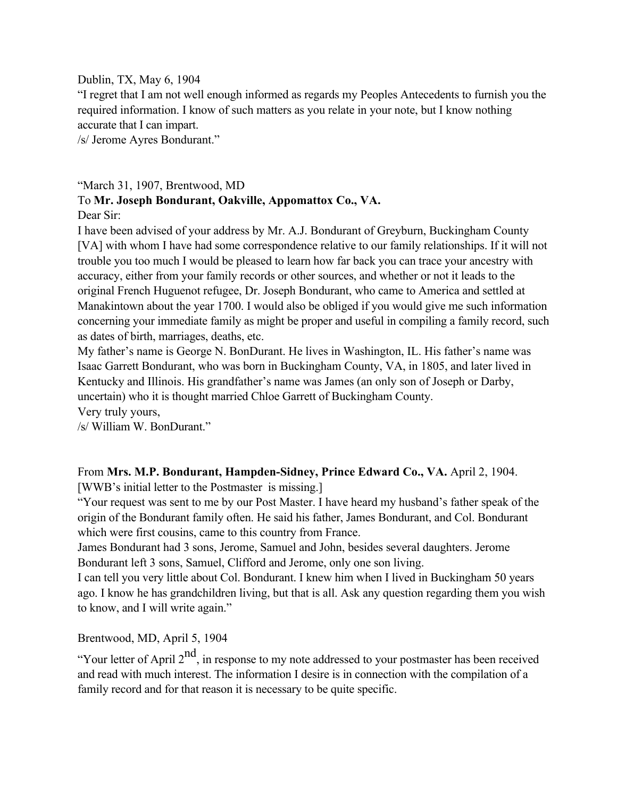#### Dublin, TX, May 6, 1904

"I regret that I am not well enough informed as regards my Peoples Antecedents to furnish you the required information. I know of such matters as you relate in your note, but I know nothing accurate that I can impart.

/s/ Jerome Ayres Bondurant."

# "March 31, 1907, Brentwood, MD

## To **Mr. Joseph Bondurant, Oakville, Appomattox Co., VA.**

Dear Sir:

I have been advised of your address by Mr. A.J. Bondurant of Greyburn, Buckingham County [VA] with whom I have had some correspondence relative to our family relationships. If it will not trouble you too much I would be pleased to learn how far back you can trace your ancestry with accuracy, either from your family records or other sources, and whether or not it leads to the original French Huguenot refugee, Dr. Joseph Bondurant, who came to America and settled at Manakintown about the year 1700. I would also be obliged if you would give me such information concerning your immediate family as might be proper and useful in compiling a family record, such as dates of birth, marriages, deaths, etc.

My father's name is George N. BonDurant. He lives in Washington, IL. His father's name was Isaac Garrett Bondurant, who was born in Buckingham County, VA, in 1805, and later lived in Kentucky and Illinois. His grandfather's name was James (an only son of Joseph or Darby, uncertain) who it is thought married Chloe Garrett of Buckingham County.

Very truly yours,

/s/ William W. BonDurant."

From **Mrs. M.P. Bondurant, Hampden-Sidney, Prince Edward Co., VA.** April 2, 1904.

[WWB's initial letter to the Postmaster is missing.]

"Your request was sent to me by our Post Master. I have heard my husband's father speak of the origin of the Bondurant family often. He said his father, James Bondurant, and Col. Bondurant which were first cousins, came to this country from France.

James Bondurant had 3 sons, Jerome, Samuel and John, besides several daughters. Jerome Bondurant left 3 sons, Samuel, Clifford and Jerome, only one son living.

I can tell you very little about Col. Bondurant. I knew him when I lived in Buckingham 50 years ago. I know he has grandchildren living, but that is all. Ask any question regarding them you wish to know, and I will write again."

Brentwood, MD, April 5, 1904

"Your letter of April  $2<sup>nd</sup>$ , in response to my note addressed to your postmaster has been received and read with much interest. The information I desire is in connection with the compilation of a family record and for that reason it is necessary to be quite specific.